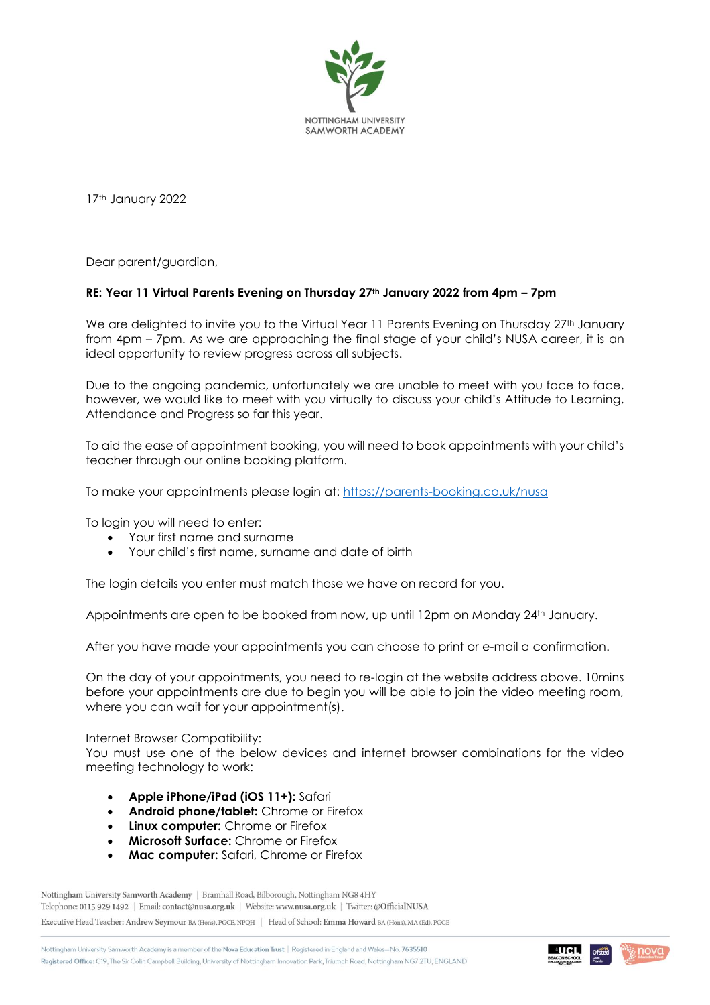

17th January 2022

Dear parent/guardian,

## **RE: Year 11 Virtual Parents Evening on Thursday 27th January 2022 from 4pm – 7pm**

We are delighted to invite you to the Virtual Year 11 Parents Evening on Thursday 27<sup>th</sup> January from 4pm – 7pm. As we are approaching the final stage of your child's NUSA career, it is an ideal opportunity to review progress across all subjects.

Due to the ongoing pandemic, unfortunately we are unable to meet with you face to face, however, we would like to meet with you virtually to discuss your child's Attitude to Learning, Attendance and Progress so far this year.

To aid the ease of appointment booking, you will need to book appointments with your child's teacher through our online booking platform.

To make your appointments please login at:<https://parents-booking.co.uk/nusa>

To login you will need to enter:

- Your first name and surname
- Your child's first name, surname and date of birth

The login details you enter must match those we have on record for you.

Appointments are open to be booked from now, up until 12pm on Monday 24<sup>th</sup> January.

After you have made your appointments you can choose to print or e-mail a confirmation.

On the day of your appointments, you need to re-login at the website address above. 10mins before your appointments are due to begin you will be able to join the video meeting room, where you can wait for your appointment(s).

## Internet Browser Compatibility:

You must use one of the below devices and internet browser combinations for the video meeting technology to work:

- **Apple iPhone/iPad (iOS 11+):** Safari
- **Android phone/tablet:** Chrome or Firefox
- **Linux computer:** Chrome or Firefox
- **Microsoft Surface:** Chrome or Firefox
- **Mac computer:** Safari, Chrome or Firefox

Nottingham University Samworth Academy | Bramhall Road, Bilborough, Nottingham NG8 4HY Telephone: 0115 929 1492 | Email: contact@nusa.org.uk | Website: www.nusa.org.uk | Twitter: @OfficialNUSA Executive Head Teacher: Andrew Seymour BA (Hons), PGCE, NPQH | Head of School: Emma Howard BA (Hons), MA (Ed), PGCE

Nottingham University Samworth Academy is a member of the Nova Education Trust | Registered in England and Wales-No. 7635510 Registered Office: C19, The Sir Colin Campbell Building, University of Nottingham Innovation Park, Triumph Road, Nottingham NG7 2TU, ENGLAND